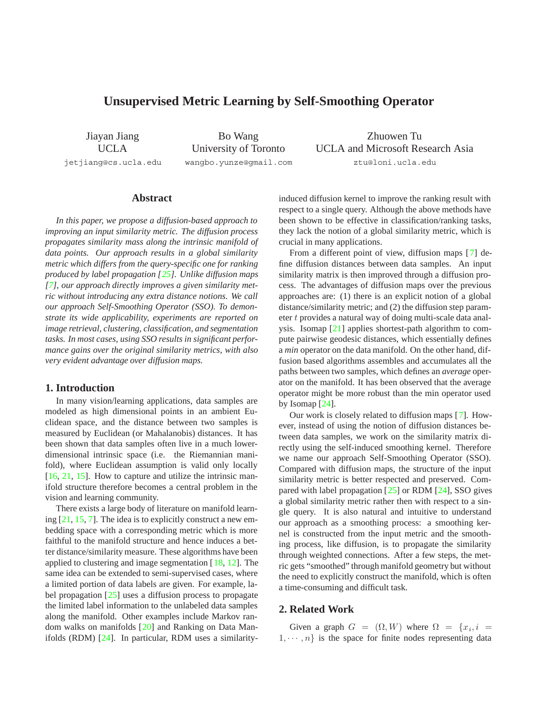# <span id="page-0-0"></span>**Unsupervised Metric Learning by Self-Smoothing Operator**

Jiayan Jiang UCLA jetjiang@cs.ucla.edu

Bo Wang University of Toronto wangbo.yunze@gmail.com

Zhuowen Tu UCLA and Microsoft Research Asia ztu@loni.ucla.edu

## **Abstract**

*In this paper, we propose a diffusion-based approach to improving an input similarity metric. The diffusion process propagates similarity mass along the intrinsic manifold of data points. Our approach results in a global similarity metric which differs from the query-specific one for ranking produced by label propagation [\[25\]](#page-7-0). Unlike diffusion maps [\[7\]](#page-7-1), our approach directly improves a given similarity metric without introducing any extra distance notions. We call our approach Self-Smoothing Operator (SSO). To demonstrate its wide applicability, experiments are reported on image retrieval, clustering, classification, and segmentation tasks. In most cases, using SSO results in significant performance gains over the original similarity metrics, with also very evident advantage over diffusion maps.*

## **1. Introduction**

In many vision/learning applications, data samples are modeled as high dimensional points in an ambient Euclidean space, and the distance between two samples is measured by Euclidean (or Mahalanobis) distances. It has been shown that data samples often live in a much lowerdimensional intrinsic space (i.e. the Riemannian manifold), where Euclidean assumption is valid only locally [\[16,](#page-7-2) [21,](#page-7-3) [15\]](#page-7-4). How to capture and utilize the intrinsic manifold structure therefore becomes a central problem in the vision and learning community.

There exists a large body of literature on manifold learning [\[21,](#page-7-3) [15,](#page-7-4) [7\]](#page-7-1). The idea is to explicitly construct a new embedding space with a corresponding metric which is more faithful to the manifold structure and hence induces a better distance/similarity measure. These algorithms have been applied to clustering and image segmentation [[18,](#page-7-5) [12\]](#page-7-6). The same idea can be extended to semi-supervised cases, where a limited portion of data labels are given. For example, label propagation [\[25\]](#page-7-0) uses a diffusion process to propagate the limited label information to the unlabeled data samples along the manifold. Other examples include Markov random walks on manifolds [\[20\]](#page-7-7) and Ranking on Data Manifolds (RDM) [\[24\]](#page-7-8). In particular, RDM uses a similarityinduced diffusion kernel to improve the ranking result with respect to a single query. Although the above methods have been shown to be effective in classification/ranking tasks, they lack the notion of a global similarity metric, which is crucial in many applications.

From a different point of view, diffusion maps [\[7\]](#page-7-1) define diffusion distances between data samples. An input similarity matrix is then improved through a diffusion process. The advantages of diffusion maps over the previous approaches are: (1) there is an explicit notion of a global distance/similarity metric; and (2) the diffusion step parameter t provides a natural way of doing multi-scale data analysis. Isomap [\[21\]](#page-7-3) applies shortest-path algorithm to compute pairwise geodesic distances, which essentially defines a *min* operator on the data manifold. On the other hand, diffusion based algorithms assembles and accumulates all the paths between two samples, which defines an *average* operator on the manifold. It has been observed that the average operator might be more robust than the min operator used by Isomap [\[24\]](#page-7-8).

Our work is closely related to diffusion maps [\[7\]](#page-7-1). However, instead of using the notion of diffusion distances between data samples, we work on the similarity matrix directly using the self-induced smoothing kernel. Therefore we name our approach Self-Smoothing Operator (SSO). Compared with diffusion maps, the structure of the input similarity metric is better respected and preserved. Compared with label propagation [[25\]](#page-7-0) or RDM [\[24\]](#page-7-8), SSO gives a global similarity metric rather then with respect to a single query. It is also natural and intuitive to understand our approach as a smoothing process: a smoothing kernel is constructed from the input metric and the smoothing process, like diffusion, is to propagate the similarity through weighted connections. After a few steps, the metric gets "smoothed" through manifold geometry but without the need to explicitly construct the manifold, which is often a time-consuming and difficult task.

## **2. Related Work**

Given a graph  $G = (\Omega, W)$  where  $\Omega = \{x_i, i =$  $1, \dots, n$  is the space for finite nodes representing data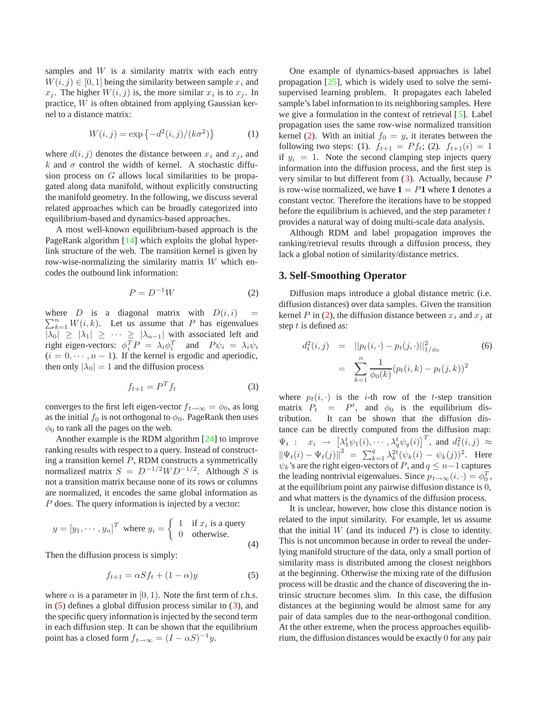<span id="page-1-5"></span>samples and  $W$  is a similarity matrix with each entry  $W(i, j) \in [0, 1]$  being the similarity between sample  $x_i$  and  $x_j$ . The higher  $W(i, j)$  is, the more similar  $x_i$  is to  $x_j$ . In practice, W is often obtained from applying Gaussian kernel to a distance matrix:

<span id="page-1-3"></span>
$$
W(i,j) = \exp\{-d^2(i,j)/(k\sigma^2)\}\
$$
 (1)

where  $d(i, j)$  denotes the distance between  $x_i$  and  $x_j$ , and k and  $\sigma$  control the width of kernel. A stochastic diffusion process on G allows local similarities to be propagated along data manifold, without explicitly constructing the manifold geometry. In the following, we discuss several related approaches which can be broadly categorized into equilibrium-based and dynamics-based approaches.

A most well-known equilibrium-based approach is the PageRank algorithm [\[14\]](#page-7-9) which exploits the global hyperlink structure of the web. The transition kernel is given by row-wise-normalizing the similarity matrix  $W$  which encodes the outbound link information:

<span id="page-1-2"></span>
$$
P = D^{-1}W\tag{2}
$$

where D is a diagonal matrix with  $D(i, i)$  =  $\nabla^n$   $W(i, k)$  Let us assume that P has eigenvalues  $\sum_{k=1}^{n} W(i, k)$ . Let us assume that P has eigenvalues  $|\overline{\lambda_0}| \ge |\lambda_1| \ge \cdots \ge |\lambda_{n-1}|$  with associated left and right eigen-vectors:  $\phi_i^T P = \lambda_i \phi_i^T$  and  $P \psi_i = \lambda_i \psi_i$ <br>(i = 0 ..., n = 1) If the kernel is ergodic and aperiodic.  $(i = 0, \dots, n - 1)$ . If the kernel is ergodic and aperiodic, then only  $|\lambda_0| = 1$  and the diffusion process

<span id="page-1-1"></span>
$$
f_{t+1} = P^T f_t \tag{3}
$$

converges to the first left eigen-vector  $f_{t\to\infty} = \phi_0$ , as long as the initial  $f_0$  is not orthogonal to  $\phi_0$ . PageRank then uses  $\phi_0$  to rank all the pages on the web.

Another example is the RDM algorithm [\[24\]](#page-7-8) to improve ranking results with respect to a query. Instead of constructing a transition kernel  $P$ , RDM constructs a symmetrically normalized matrix  $S = D^{-1/2}WD^{-1/2}$ . Although S is not a transition matrix because none of its rows or columns are normalized, it encodes the same global information as P does. The query information is injected by a vector:

$$
y = [y_1, \dots, y_n]^T \text{ where } y_i = \begin{cases} 1 & \text{if } x_i \text{ is a query} \\ 0 & \text{otherwise.} \end{cases}
$$
(4)

Then the diffusion process is simply:

<span id="page-1-0"></span>
$$
f_{t+1} = \alpha S f_t + (1 - \alpha) y \tag{5}
$$

where  $\alpha$  is a parameter in [0, 1). Note the first term of r.h.s. in  $(5)$  defines a global diffusion process similar to  $(3)$ , and the specific query information is injected by the second term in each diffusion step. It can be shown that the equilibrium point has a closed form  $f_{t\to\infty} = (I - \alpha S)^{-1}y$ .

One example of dynamics-based approaches is label propagation  $[25]$ , which is widely used to solve the semisupervised learning problem. It propagates each labeled sample's label information to its neighboring samples. Here we give a formulation in the context of retrieval [[5\]](#page-7-10). Label propagation uses the same row-wise normalized transition kernel [\(2\)](#page-1-2). With an initial  $f_0 = y$ , it iterates between the following two steps: (1).  $f_{t+1} = Pf_t$ ; (2).  $f_{t+1}(i) = 1$ if  $y_i = 1$ . Note the second clamping step injects query information into the diffusion process, and the first step is very similar to but different from  $(3)$  $(3)$ . Actually, because P is row-wise normalized, we have  $1 = P1$  where 1 denotes a constant vector. Therefore the iterations have to be stopped before the equilibrium is achieved, and the step parameter  $t$ provides a natural way of doing multi-scale data analysis.

Although RDM and label propagation improves the ranking/retrieval results through a diffusion process, they lack a global notion of similarity/distance metrics.

#### <span id="page-1-4"></span>**3. Self-Smoothing Operator**

Diffusion maps introduce a global distance metric (i.e. diffusion distances) over data samples. Given the transition kernel P in [\(2\)](#page-1-2), the diffusion distance between  $x_i$  and  $x_j$  at step t is defined as:

$$
d_t^2(i,j) = ||p_t(i, \cdot) - p_t(j, \cdot)||_{1/\phi_0}^2
$$
\n
$$
= \sum_{k=1}^n \frac{1}{\phi_0(k)} (p_t(i,k) - p_t(j,k))^2
$$
\n(6)

where  $p_t(i, \cdot)$  is the *i*-th row of the *t*-step transition matrix  $P_t = P^t$ , and  $\phi_0$  is the equilibrium distribution tribution. It can be shown that the diffusion distance can be directly computed from the diffusion map:  $\Psi_t$  :  $x_i \rightarrow [\lambda_1^t \psi_1(i), \cdots, \lambda_q^t \psi_q(i)]^T$ , and  $d_t^2(i,j) \approx$  $\|\Psi_t(i) - \Psi_t(j)\|^2 = \sum_{k=1}^q \lambda_k^{2t} (\psi_k(i) - \psi_k(j))^2$ . Here  $\psi_k$ 's are the right eigen-vectors of P, and  $q \leq n-1$  captures the leading nontrivial eigenvalues. Since  $p_{t\to\infty}(i, \cdot) = \phi_0^T$ , at the equilibrium point any pairwise diffusion distance is 0. at the equilibrium point any pairwise diffusion distance is 0, and what matters is the dynamics of the diffusion process.

It is unclear, however, how close this distance notion is related to the input similarity. For example, let us assume that the initial  $W$  (and its induced  $P$ ) is close to identity. This is not uncommon because in order to reveal the underlying manifold structure of the data, only a small portion of similarity mass is distributed among the closest neighbors at the beginning. Otherwise the mixing rate of the diffusion process will be drastic and the chance of discovering the intrinsic structure becomes slim. In this case, the diffusion distances at the beginning would be almost same for any pair of data samples due to the near-orthogonal condition. At the other extreme, when the process approaches equilibrium, the diffusion distances would be exactly 0 for any pair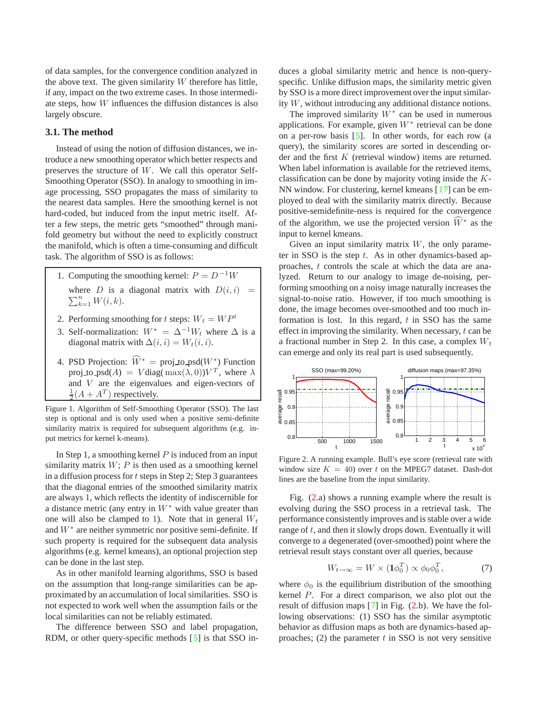<span id="page-2-1"></span>of data samples, for the convergence condition analyzed in the above text. The given similarity  $W$  therefore has little, if any, impact on the two extreme cases. In those intermediate steps, how W influences the diffusion distances is also largely obscure.

## **3.1. The method**

Instead of using the notion of diffusion distances, we introduce a new smoothing operator which better respects and preserves the structure of W. We call this operator Self-Smoothing Operator (SSO). In analogy to smoothing in image processing, SSO propagates the mass of similarity to the nearest data samples. Here the smoothing kernel is not hard-coded, but induced from the input metric itself. After a few steps, the metric gets "smoothed" through manifold geometry but without the need to explicitly construct the manifold, which is often a time-consuming and difficult task. The algorithm of SSO is as follows:

- 1. Computing the smoothing kernel:  $P = D^{-1}W$ where D is a diagonal matrix with  $D(i, i) = \sum_{i=1}^{n} W(i, i)$  $\sum_{k=1}^{n} W(i,k)$ .
- 2. Performing smoothing for t steps:  $W_t = WP^t$
- 3. Self-normalization:  $W^* = \Delta^{-1}W_t$  where  $\Delta$  is a diagonal matrix with  $\Delta(i, i) = W_t(i, i)$ .
- 4. PSD Projection:  $\widehat{W}^* = \text{proj\_to\_psd}(W^*)$  Function<br>row to psd(A) =  $V \text{diag}(m \text{avg}(\lambda, 0)) V^T$  where  $\lambda$ proj to psd(A) = V diag( max( $\lambda$ , 0))  $V^T$ , where  $\lambda$ and V are the eigenvalues and eigen-vectors of  $\frac{1}{2}(A + A^T)$  respectively.

Figure 1. Algorithm of Self-Smoothing Operator (SSO). The last step is optional and is only used when a positive semi-definite similarity matrix is required for subsequent algorithms (e.g. input metrics for kernel k-means).

In Step 1, a smoothing kernel  $P$  is induced from an input similarity matrix  $W$ ;  $P$  is then used as a smoothing kernel in a diffusion process for  $t$  steps in Step 2; Step 3 guarantees that the diagonal entries of the smoothed similarity matrix are always 1, which reflects the identity of indiscernible for a distance metric (any entry in  $W^*$  with value greater than one will also be clamped to 1). Note that in general  $W_t$ and  $W^*$  are neither symmetric nor positive semi-definite. If such property is required for the subsequent data analysis algorithms (e.g. kernel kmeans), an optional projection step can be done in the last step.

As in other manifold learning algorithms, SSO is based on the assumption that long-range similarities can be approximated by an accumulation of local similarities. SSO is not expected to work well when the assumption fails or the local similarities can not be reliably estimated.

The difference between SSO and label propagation, RDM, or other query-specific methods [\[5\]](#page-7-10) is that SSO induces a global similarity metric and hence is non-queryspecific. Unlike diffusion maps, the similarity metric given by SSO is a more direct improvement over the input similarity W, without introducing any additional distance notions.

The improved similarity  $W^*$  can be used in numerous applications. For example, given  $W^*$  retrieval can be done on a per-row basis [\[5\]](#page-7-10). In other words, for each row (a query), the similarity scores are sorted in descending order and the first K (retrieval window) items are returned. When label information is available for the retrieved items, classification can be done by majority voting inside the K-NN window. For clustering, kernel kmeans [\[17\]](#page-7-11) can be employed to deal with the similarity matrix directly. Because positive-semidefinite-ness is required for the convergence of the algorithm, we use the projected version  $\widehat{W}^*$  as the input to kernel kmeans.

Given an input similarity matrix  $W$ , the only parameter in SSO is the step  $t$ . As in other dynamics-based approaches, t controls the scale at which the data are analyzed. Return to our analogy to image de-noising, performing smoothing on a noisy image naturally increases the signal-to-noise ratio. However, if too much smoothing is done, the image becomes over-smoothed and too much information is lost. In this regard,  $t$  in SSO has the same effect in improving the similarity. When necessary,  $t$  can be a fractional number in Step 2. In this case, a complex  $W_t$ can emerge and only its real part is used subsequently.



<span id="page-2-0"></span>Figure 2. A running example. Bull's eye score (retrieval rate with window size  $K = 40$ ) over t on the MPEG7 dataset. Dash-dot lines are the baseline from the input similarity.

Fig. [\(2.](#page-2-0)a) shows a running example where the result is evolving during the SSO process in a retrieval task. The performance consistently improves and is stable over a wide range of  $t$ , and then it slowly drops down. Eventually it will converge to a degenerated (over-smoothed) point where the retrieval result stays constant over all queries, because

$$
W_{t\to\infty} = W \times (\mathbf{1}\phi_0^T) \propto \phi_0 \phi_0^T, \tag{7}
$$

where  $\phi_0$  is the equilibrium distribution of the smoothing kernel P. For a direct comparison, we also plot out the result of diffusion maps [\[7\]](#page-7-1) in Fig. [\(2.](#page-2-0)b). We have the following observations: (1) SSO has the similar asymptotic behavior as diffusion maps as both are dynamics-based approaches; (2) the parameter  $t$  in SSO is not very sensitive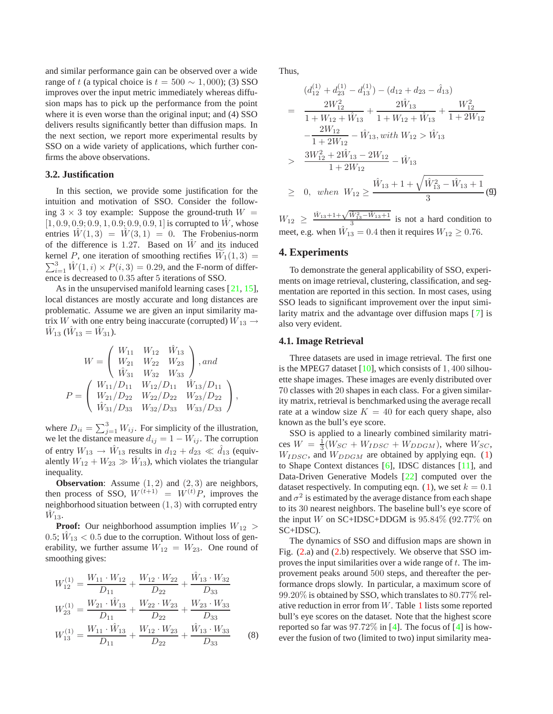<span id="page-3-0"></span>and similar performance gain can be observed over a wide range of t (a typical choice is  $t = 500 \sim 1,000$ ); (3) SSO improves over the input metric immediately whereas diffusion maps has to pick up the performance from the point where it is even worse than the original input; and (4) SSO delivers results significantly better than diffusion maps. In the next section, we report more experimental results by SSO on a wide variety of applications, which further confirms the above observations.

#### **3.2. Justification**

In this section, we provide some justification for the intuition and motivation of SSO. Consider the following  $3 \times 3$  toy example: Suppose the ground-truth  $W =$  $[1, 0.9, 0.9; 0.9, 1, 0.9; 0.9, 0.9, 1]$  is corrupted to  $\hat{W}$ , whose entries  $\hat{W}(1,3) = \hat{W}(3,1) = 0$ . The Frobenius-norm of the difference is 1.27. Based on  $\hat{W}$  and its induced kernel P, one iteration of smoothing rectifies  $\widetilde{W}_1(1,3) = \nabla^3 \hat{W}_1(1,3) \times P(\hat{s}, 3) = 0.20$  and the E norm of differ EXEMELY 1, one relation of smoothing recurres  $W_1(1, 3)$  –<br>  $\sum_{i=1}^{3} \hat{W}(1, i) \times P(i, 3) = 0.29$ , and the F-norm of differ-<br>
ence is decreased to 0.35 after 5 iterations of SSO ence is decreased to 0.35 after 5 iterations of SSO.

As in the unsupervised manifold learning cases [[21,](#page-7-3) [15\]](#page-7-4), local distances are mostly accurate and long distances are problematic. Assume we are given an input similarity matrix W with one entry being inaccurate (corrupted)  $W_{13} \rightarrow$  $\hat{W}_{13}$  ( $\hat{W}_{13} = \hat{W}_{31}$ ).

$$
W = \begin{pmatrix} W_{11} & W_{12} & \hat{W}_{13} \\ W_{21} & W_{22} & W_{23} \\ \hat{W}_{31} & W_{32} & W_{33} \end{pmatrix}, and
$$
  

$$
P = \begin{pmatrix} W_{11}/D_{11} & W_{12}/D_{11} & \hat{W}_{13}/D_{11} \\ W_{21}/D_{22} & W_{22}/D_{22} & W_{23}/D_{22} \\ \hat{W}_{31}/D_{33} & W_{32}/D_{33} & W_{33}/D_{33} \end{pmatrix},
$$

where  $D_{ii} = \sum_{j=1}^{3} W_{ij}$ . For simplicity of the illustration,<br>we let the distance measure  $d_{ii} = 1 - W_{ii}$ . The corruntion we let the distance measure  $d_{ij} = 1 - W_{ij}$ . The corruption of entry  $W_{13} \rightarrow \hat{W}_{13}$  results in  $d_{12} + d_{23} \ll \hat{d}_{13}$  (equiv-<br>alently  $W_{12} + W_{22} \gg \hat{W}_{13}$ ) which violates the triangular alently  $W_{12} + W_{23} \gg W_{13}$ , which violates the triangular inequality.

**Observation**: Assume  $(1, 2)$  and  $(2, 3)$  are neighbors, then process of SSO,  $W^{(t+1)} = W^{(t)}P$ , improves the neighborhood situation between (1, 3) with corrupted entry neighborhood situation between (1, 3) with corrupted entry  $W_{13}$ .

**Proof:** Our neighborhood assumption implies  $W_{12}$  > 0.5;  $W_{13}$  < 0.5 due to the corruption. Without loss of generability, we further assume  $W_{12} = W_{23}$ . One round of smoothing gives:

$$
W_{12}^{(1)} = \frac{W_{11} \cdot W_{12}}{D_{11}} + \frac{W_{12} \cdot W_{22}}{D_{22}} + \frac{\hat{W}_{13} \cdot W_{32}}{D_{33}}
$$
  
\n
$$
W_{23}^{(1)} = \frac{W_{21} \cdot \hat{W}_{13}}{D_{11}} + \frac{W_{22} \cdot W_{23}}{D_{22}} + \frac{W_{23} \cdot W_{33}}{D_{33}}
$$
  
\n
$$
W_{13}^{(1)} = \frac{W_{11} \cdot \hat{W}_{13}}{D_{11}} + \frac{W_{12} \cdot W_{23}}{D_{22}} + \frac{\hat{W}_{13} \cdot W_{33}}{D_{33}}
$$
(8)

Thus,

$$
(d_{12}^{(1)} + d_{23}^{(1)} - d_{13}^{(1)}) - (d_{12} + d_{23} - \hat{d}_{13})
$$
  
= 
$$
\frac{2W_{12}^2}{1 + W_{12} + \hat{W}_{13}} + \frac{2\hat{W}_{13}}{1 + W_{12} + \hat{W}_{13}} + \frac{W_{12}^2}{1 + 2W_{12}}
$$

$$
-\frac{2W_{12}}{1 + 2W_{12}} - \hat{W}_{13}, with W_{12} > \hat{W}_{13}
$$

$$
> \frac{3W_{12}^2 + 2\hat{W}_{13} - 2W_{12}}{1 + 2W_{12}} - \hat{W}_{13}
$$

$$
\geq 0, when W_{12} \geq \frac{\hat{W}_{13} + 1 + \sqrt{\hat{W}_{13}^2 - \hat{W}_{13} + 1}}{3} \tag{9}
$$

 $W_{12} \geq \frac{\hat{W}_{13}+1+\sqrt{\hat{W}_{13}^2-\hat{W}_{13}+1}}{3}$  is not a hard condition to meet, e.g. when  $\hat{W}_{13} = 0.4$  then it requires  $W_{12} \ge 0.76$ .

## **4. Experiments**

To demonstrate the general applicability of SSO, experiments on image retrieval, clustering, classification, and segmentation are reported in this section. In most cases, using SSO leads to significant improvement over the input similarity matrix and the advantage over diffusion maps [ [7\]](#page-7-1) is also very evident.

#### **4.1. Image Retrieval**

Three datasets are used in image retrieval. The first one is the MPEG7 dataset  $[10]$ , which consists of 1, 400 silhouette shape images. These images are evenly distributed over 70 classes with 20 shapes in each class. For a given similarity matrix, retrieval is benchmarked using the average recall rate at a window size  $K = 40$  for each query shape, also known as the bull's eye score.

SSO is applied to a linearly combined similarity matrices  $W = \frac{1}{3}(W_{SC} + W_{IDSC} + W_{DDGM})$ , where  $W_{SC}$ ,<br>Wrong and Wongy are obtained by applying eqn. (1)  $W_{IDSC}$ , and  $W_{DDGM}$  are obtained by applying eqn. ([1\)](#page-1-3) to Shape Context distances [\[6\]](#page-7-13), IDSC distances [\[11\]](#page-7-14), and Data-Driven Generative Models [\[22\]](#page-7-15) computed over the dataset respectively. In computing eqn. [\(1\)](#page-1-3), we set  $k = 0.1$ and  $\sigma^2$  is estimated by the average distance from each shape to its 30 nearest neighbors. The baseline bull's eye score of the input W on SC+IDSC+DDGM is  $95.84\%$  ( $92.77\%$  on SC+IDSC).

The dynamics of SSO and diffusion maps are shown in Fig. [\(2.](#page-2-0)a) and [\(2.](#page-2-0)b) respectively. We observe that SSO improves the input similarities over a wide range of  $t$ . The improvement peaks around 500 steps, and thereafter the performance drops slowly. In particular, a maximum score of 99.20% is obtained by SSO, which translates to 80.77% relative reduction in error from W. Table [1](#page-4-0) lists some reported bull's eye scores on the dataset. Note that the highest score reported so far was  $97.72\%$  in [\[4\]](#page-7-16). The focus of [4] is however the fusion of two (limited to two) input similarity mea-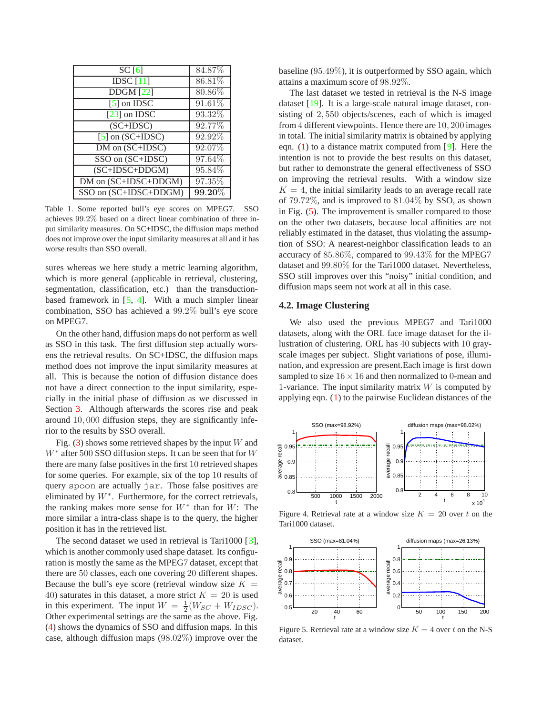<span id="page-4-3"></span>

| SC[6]                  | 84.87%    |
|------------------------|-----------|
| IDSC $[11]$            | 86.81%    |
| $\overline{DDGM}$ [22] | 80.86%    |
| $\overline{5}$ on IDSC | $91.61\%$ |
| $[23]$ on IDSC         | 93.32%    |
| $(SC+IDSC)$            | 92.77%    |
| $[5]$ on $(SC+IDSC)$   | 92.92%    |
| DM on (SC+IDSC)        | 92.07%    |
| SSO on (SC+IDSC)       | 97.64%    |
| $(SC+IDSC+DDGM)$       | 95.84%    |
| DM on (SC+IDSC+DDGM)   | 97.35%    |
| SSO on (SC+IDSC+DDGM)  | $99.20\%$ |
|                        |           |

<span id="page-4-0"></span>Table 1. Some reported bull's eye scores on MPEG7. SSO achieves 99*.*2% based on a direct linear combination of three input similarity measures. On SC+IDSC, the diffusion maps method does not improve over the input similarity measures at all and it has worse results than SSO overall.

sures whereas we here study a metric learning algorithm, which is more general (applicable in retrieval, clustering, segmentation, classification, etc.) than the transductionbased framework in  $[5, 4]$  $[5, 4]$  $[5, 4]$ . With a much simpler linear combination, SSO has achieved a 99.2% bull's eye score on MPEG7.

On the other hand, diffusion maps do not perform as well as SSO in this task. The first diffusion step actually worsens the retrieval results. On SC+IDSC, the diffusion maps method does not improve the input similarity measures at all. This is because the notion of diffusion distance does not have a direct connection to the input similarity, especially in the initial phase of diffusion as we discussed in Section [3.](#page-1-4) Although afterwards the scores rise and peak around 10, 000 diffusion steps, they are significantly inferior to the results by SSO overall.

Fig. [\(3\)](#page-5-0) shows some retrieved shapes by the input  $W$  and  $W^*$  after 500 SSO diffusion steps. It can be seen that for W there are many false positives in the first 10 retrieved shapes for some queries. For example, six of the top 10 results of query spoon are actually jar. Those false positives are eliminated by  $W^*$ . Furthermore, for the correct retrievals, the ranking makes more sense for  $W^*$  than for W: The more similar a intra-class shape is to the query, the higher position it has in the retrieved list.

The second dataset we used in retrieval is Tari1000 [[3\]](#page-7-18), which is another commonly used shape dataset. Its configuration is mostly the same as the MPEG7 dataset, except that there are 50 classes, each one covering 20 different shapes. Because the bull's eye score (retrieval window size  $K =$ 40) saturates in this dataset, a more strict  $K = 20$  is used in this experiment. The input  $W = \frac{1}{2}(W_{SC} + W_{IDSC})$ .<br>Other experimental settings are the same as the above Fig. Other experimental settings are the same as the above. Fig. [\(4\)](#page-4-1) shows the dynamics of SSO and diffusion maps. In this case, although diffusion maps (98.02%) improve over the

baseline (95.49%), it is outperformed by SSO again, which attains a maximum score of 98.92%.

The last dataset we tested in retrieval is the N-S image dataset [\[19\]](#page-7-19). It is a large-scale natural image dataset, consisting of 2, 550 objects/scenes, each of which is imaged from 4 different viewpoints. Hence there are 10, 200 images in total. The initial similarity matrix is obtained by applying eqn. [\(1\)](#page-1-3) to a distance matrix computed from [\[9\]](#page-7-20). Here the intention is not to provide the best results on this dataset, but rather to demonstrate the general effectiveness of SSO on improving the retrieval results. With a window size  $K = 4$ , the initial similarity leads to an average recall rate of 79.72%, and is improved to 81.04% by SSO, as shown in Fig. [\(5\)](#page-4-2). The improvement is smaller compared to those on the other two datasets, because local affinities are not reliably estimated in the dataset, thus violating the assumption of SSO: A nearest-neighbor classification leads to an accuracy of 85.86%, compared to 99.43% for the MPEG7 dataset and 99.80% for the Tari1000 dataset. Nevertheless, SSO still improves over this "noisy" initial condition, and diffusion maps seem not work at all in this case.

#### **4.2. Image Clustering**

We also used the previous MPEG7 and Tari1000 datasets, along with the ORL face image dataset for the illustration of clustering. ORL has 40 subjects with 10 grayscale images per subject. Slight variations of pose, illumination, and expression are present.Each image is first down sampled to size  $16 \times 16$  and then normalized to 0-mean and 1-variance. The input similarity matrix  $W$  is computed by applying eqn. [\(1\)](#page-1-3) to the pairwise Euclidean distances of the



<span id="page-4-1"></span>Figure 4. Retrieval rate at a window size  $K = 20$  over t on the Tari1000 dataset.



<span id="page-4-2"></span>Figure 5. Retrieval rate at a window size  $K = 4$  over t on the N-S dataset.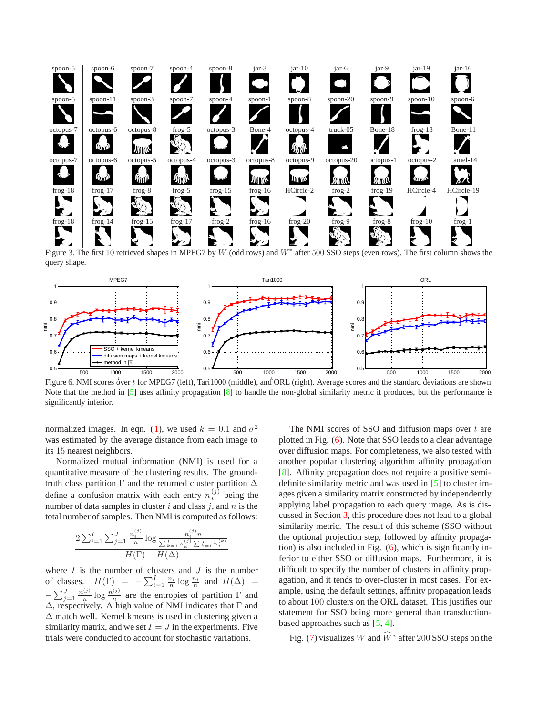<span id="page-5-2"></span>

<span id="page-5-0"></span>Figure 3. The first 10 retrieved shapes in MPEG7 by *W* (odd rows) and *W*<sup>∗</sup> after 500 SSO steps (even rows). The first column shows the query shape.



<span id="page-5-1"></span>Figure 6. NMI scores over *t* for MPEG7 (left), Tari1000 (middle), and ORL (right). Average scores and the standard deviations are shown. Note that the method in [\[5\]](#page-7-10) uses affinity propagation [\[8\]](#page-7-21) to handle the non-global similarity metric it produces, but the performance is significantly inferior.

normalized images. In eqn. [\(1\)](#page-1-3), we used  $k = 0.1$  and  $\sigma^2$ was estimated by the average distance from each image to its 15 nearest neighbors.

Normalized mutual information (NMI) is used for a quantitative measure of the clustering results. The groundtruth class partition  $\Gamma$  and the returned cluster partition  $\Delta$ define a confusion matrix with each entry  $n_i^{(j)}$  being the number of data samples in cluster  $i$  and class  $j$ , and  $n$  is the total number of samples. Then NMI is computed as follows:

$$
\frac{2\sum_{i=1}^{I} \sum_{j=1}^{J} \frac{n_i^{(j)}}{n} \log \frac{n_i^{(j)} n}{\sum_{k=1}^{I} n_k^{(j)} \sum_{k=1}^{J} n_i^{(k)}}}{H(\Gamma) + H(\Delta)}
$$

where  $I$  is the number of clusters and  $J$  is the number of classes.  $H(\Gamma) = -\sum_{i=1}^{I} \frac{n_i}{n} \log \frac{n_i}{n}$  and  $H(\Delta) = -\sum_{j=1}^{J} \frac{n_j}{n} \log \frac{n_j}{n}$  are the entropies of partition  $\Gamma$  and  $\Delta$  respectively  $\Delta$  high value of NMI indicates that  $\Gamma$  and Δ, respectively. A high value of NMI indicates that Γ and  $\Delta$  match well. Kernel kmeans is used in clustering given a similarity matrix, and we set  $I = J$  in the experiments. Five trials were conducted to account for stochastic variations.

The NMI scores of SSO and diffusion maps over  $t$  are plotted in Fig. [\(6\)](#page-5-1). Note that SSO leads to a clear advantage over diffusion maps. For completeness, we also tested with another popular clustering algorithm affinity propagation [\[8\]](#page-7-21). Affinity propagation does not require a positive semidefinite similarity metric and was used in [[5\]](#page-7-10) to cluster images given a similarity matrix constructed by independently applying label propagation to each query image. As is discussed in Section [3,](#page-1-4) this procedure does not lead to a global similarity metric. The result of this scheme (SSO without the optional projection step, followed by affinity propagation) is also included in Fig.  $(6)$ , which is significantly inferior to either SSO or diffusion maps. Furthermore, it is difficult to specify the number of clusters in affinity propagation, and it tends to over-cluster in most cases. For example, using the default settings, affinity propagation leads to about 100 clusters on the ORL dataset. This justifies our statement for SSO being more general than transductionbased approaches such as  $[5, 4]$  $[5, 4]$  $[5, 4]$ .

Fig. [\(7\)](#page-6-0) visualizes  $W$  and  $\widehat{W}^*$  after 200 SSO steps on the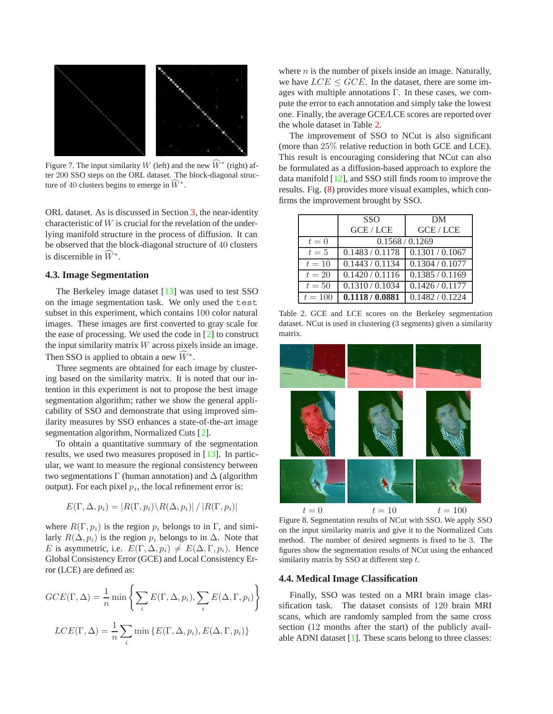<span id="page-6-3"></span>

<span id="page-6-0"></span>Figure 7. The input similarity *W* (left) and the new  $W^*$  (right) after 200 SSO steps on the ORL dataset. The block-diagonal structure of 40 clusters begins to emerge in  $W^*$ .

ORL dataset. As is discussed in Section [3,](#page-1-4) the near-identity characteristic of  $W$  is crucial for the revelation of the underlying manifold structure in the process of diffusion. It can be observed that the block-diagonal structure of 40 clusters is discernible in  $\widehat{W}^*$ .

## **4.3. Image Segmentation**

The Berkeley image dataset  $[13]$  was used to test SSO on the image segmentation task. We only used the test subset in this experiment, which contains 100 color natural images. These images are first converted to gray scale for the ease of processing. We used the code in [\[2\]](#page-7-23) to construct the input similarity matrix  $W$  across pixels inside an image. Then SSO is applied to obtain a new  $\widehat{W}^*$ .

Three segments are obtained for each image by clustering based on the similarity matrix. It is noted that our intention in this experiment is not to propose the best image segmentation algorithm; rather we show the general applicability of SSO and demonstrate that using improved similarity measures by SSO enhances a state-of-the-art image segmentation algorithm, Normalized Cuts [\[2\]](#page-7-23).

To obtain a quantitative summary of the segmentation results, we used two measures proposed in [\[13\]](#page-7-22). In particular, we want to measure the regional consistency between two segmentations  $\Gamma$  (human annotation) and  $\Delta$  (algorithm output). For each pixel  $p_i$ , the local refinement error is:

$$
E(\Gamma, \Delta, p_i) = |R(\Gamma, p_i) \backslash R(\Delta, p_i)| / |R(\Gamma, p_i)|
$$

where  $R(\Gamma, p_i)$  is the region  $p_i$  belongs to in Γ, and similarly  $R(\Delta, p_i)$  is the region  $p_i$  belongs to in  $\Delta$ . Note that E is asymmetric, i.e.  $E(\Gamma, \Delta, p_i) \neq E(\Delta, \Gamma, p_i)$ . Hence Global Consistency Error (GCE) and Local Consistency Error (LCE) are defined as:

$$
GCE(\Gamma, \Delta) = \frac{1}{n} \min \left\{ \sum_{i} E(\Gamma, \Delta, p_i), \sum_{i} E(\Delta, \Gamma, p_i) \right\}
$$

$$
LCE(\Gamma, \Delta) = \frac{1}{n} \sum_{i} \min \left\{ E(\Gamma, \Delta, p_i), E(\Delta, \Gamma, p_i) \right\}
$$

where  $n$  is the number of pixels inside an image. Naturally, we have  $LCE \le GCE$ . In the dataset, there are some images with multiple annotations Γ. In these cases, we compute the error to each annotation and simply take the lowest one. Finally, the average GCE/LCE scores are reported over the whole dataset in Table [2.](#page-6-1)

The improvement of SSO to NCut is also significant (more than 25% relative reduction in both GCE and LCE). This result is encouraging considering that NCut can also be formulated as a diffusion-based approach to explore the data manifold [\[12\]](#page-7-6), and SSO still finds room to improve the results. Fig. [\(8\)](#page-6-2) provides more visual examples, which confirms the improvement brought by SSO.

|           | <b>SSO</b>      | DМ              |
|-----------|-----------------|-----------------|
|           | <b>GCE/LCE</b>  | GCE/LCE         |
| $t=0$     | 0.1568 / 0.1269 |                 |
| $t=5$     | 0.1483/0.1178   | 0.1301 / 0.1067 |
| $t=10$    | 0.1443/0.1134   | 0.1304 / 0.1077 |
| $t=20$    | 0.1420 / 0.1116 | 0.1385 / 0.1169 |
| $t=50$    | 0.1310 / 0.1034 | 0.1426 / 0.1177 |
| $t = 100$ | 0.1118/0.0881   | 0.1482 / 0.1224 |
|           |                 |                 |

<span id="page-6-1"></span>Table 2. GCE and LCE scores on the Berkeley segmentation dataset. NCut is used in clustering (3 segments) given a similarity matrix.



<span id="page-6-2"></span> $t = 0$   $t = 10$   $t = 100$ <br>Figure 8. Segmentation results of NCut with SSO. We apply SSO on the input similarity matrix and give it to the Normalized Cuts method. The number of desired segments is fixed to be 3. The figures show the segmentation results of NCut using the enhanced similarity matrix by SSO at different step *t*.

#### **4.4. Medical Image Classification**

Finally, SSO was tested on a MRI brain image classification task. The dataset consists of 120 brain MRI scans, which are randomly sampled from the same cross section (12 months after the start) of the publicly available ADNI dataset [\[1\]](#page-7-24). These scans belong to three classes: